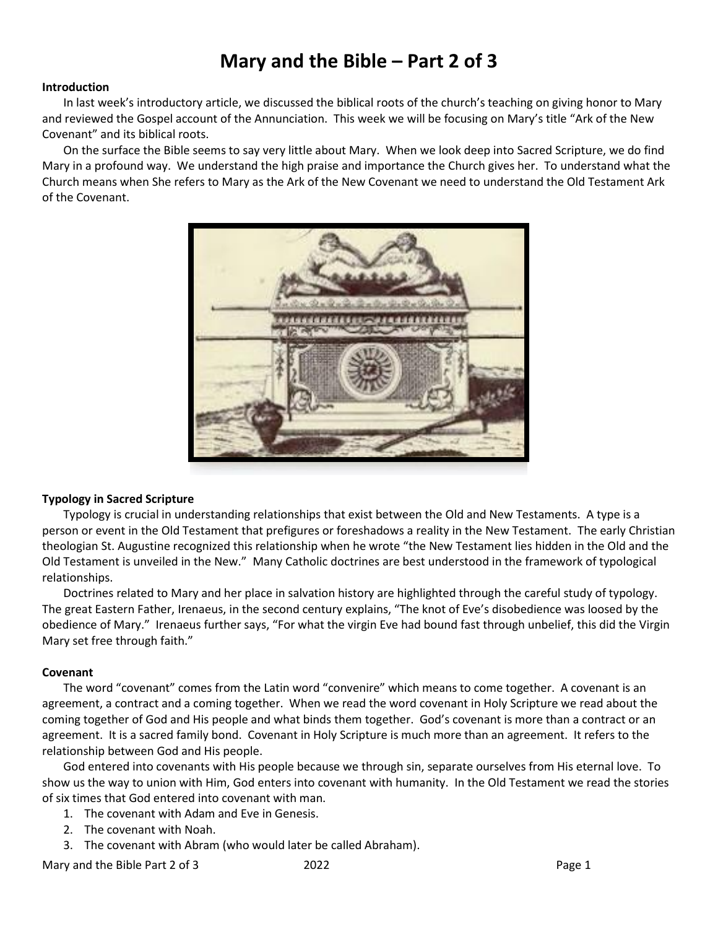# **Mary and the Bible – Part 2 of 3**

#### **Introduction**

In last week's introductory article, we discussed the biblical roots of the church's teaching on giving honor to Mary and reviewed the Gospel account of the Annunciation. This week we will be focusing on Mary's title "Ark of the New Covenant" and its biblical roots.

On the surface the Bible seems to say very little about Mary. When we look deep into Sacred Scripture, we do find Mary in a profound way. We understand the high praise and importance the Church gives her. To understand what the Church means when She refers to Mary as the Ark of the New Covenant we need to understand the Old Testament Ark of the Covenant.



#### **Typology in Sacred Scripture**

Typology is crucial in understanding relationships that exist between the Old and New Testaments. A type is a person or event in the Old Testament that prefigures or foreshadows a reality in the New Testament. The early Christian theologian St. Augustine recognized this relationship when he wrote "the New Testament lies hidden in the Old and the Old Testament is unveiled in the New." Many Catholic doctrines are best understood in the framework of typological relationships.

Doctrines related to Mary and her place in salvation history are highlighted through the careful study of typology. The great Eastern Father, Irenaeus, in the second century explains, "The knot of Eve's disobedience was loosed by the obedience of Mary." Irenaeus further says, "For what the virgin Eve had bound fast through unbelief, this did the Virgin Mary set free through faith."

#### **Covenant**

The word "covenant" comes from the Latin word "convenire" which means to come together. A covenant is an agreement, a contract and a coming together. When we read the word covenant in Holy Scripture we read about the coming together of God and His people and what binds them together. God's covenant is more than a contract or an agreement. It is a sacred family bond. Covenant in Holy Scripture is much more than an agreement. It refers to the relationship between God and His people.

God entered into covenants with His people because we through sin, separate ourselves from His eternal love. To show us the way to union with Him, God enters into covenant with humanity. In the Old Testament we read the stories of six times that God entered into covenant with man.

- 1. The covenant with Adam and Eve in Genesis.
- 2. The covenant with Noah.
- 3. The covenant with Abram (who would later be called Abraham).

Mary and the Bible Part 2 of 3 2022 2022 Page 1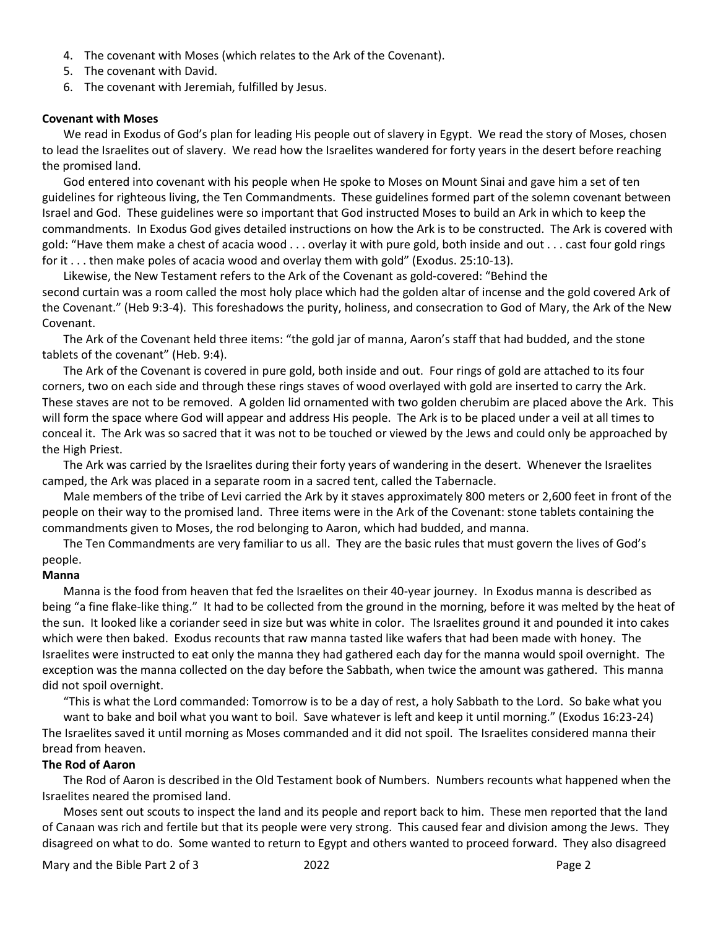- 4. The covenant with Moses (which relates to the Ark of the Covenant).
- 5. The covenant with David.
- 6. The covenant with Jeremiah, fulfilled by Jesus.

#### **Covenant with Moses**

We read in Exodus of God's plan for leading His people out of slavery in Egypt. We read the story of Moses, chosen to lead the Israelites out of slavery. We read how the Israelites wandered for forty years in the desert before reaching the promised land.

God entered into covenant with his people when He spoke to Moses on Mount Sinai and gave him a set of ten guidelines for righteous living, the Ten Commandments. These guidelines formed part of the solemn covenant between Israel and God. These guidelines were so important that God instructed Moses to build an Ark in which to keep the commandments. In Exodus God gives detailed instructions on how the Ark is to be constructed. The Ark is covered with gold: "Have them make a chest of acacia wood . . . overlay it with pure gold, both inside and out . . . cast four gold rings for it . . . then make poles of acacia wood and overlay them with gold" (Exodus. 25:10-13).

Likewise, the New Testament refers to the Ark of the Covenant as gold-covered: "Behind the second curtain was a room called the most holy place which had the golden altar of incense and the gold covered Ark of the Covenant." (Heb 9:3-4). This foreshadows the purity, holiness, and consecration to God of Mary, the Ark of the New Covenant.

The Ark of the Covenant held three items: "the gold jar of manna, Aaron's staff that had budded, and the stone tablets of the covenant" (Heb. 9:4).

The Ark of the Covenant is covered in pure gold, both inside and out. Four rings of gold are attached to its four corners, two on each side and through these rings staves of wood overlayed with gold are inserted to carry the Ark. These staves are not to be removed. A golden lid ornamented with two golden cherubim are placed above the Ark. This will form the space where God will appear and address His people. The Ark is to be placed under a veil at all times to conceal it. The Ark was so sacred that it was not to be touched or viewed by the Jews and could only be approached by the High Priest.

The Ark was carried by the Israelites during their forty years of wandering in the desert. Whenever the Israelites camped, the Ark was placed in a separate room in a sacred tent, called the Tabernacle.

Male members of the tribe of Levi carried the Ark by it staves approximately 800 meters or 2,600 feet in front of the people on their way to the promised land. Three items were in the Ark of the Covenant: stone tablets containing the commandments given to Moses, the rod belonging to Aaron, which had budded, and manna.

The Ten Commandments are very familiar to us all. They are the basic rules that must govern the lives of God's people.

# **Manna**

Manna is the food from heaven that fed the Israelites on their 40-year journey. In Exodus manna is described as being "a fine flake-like thing." It had to be collected from the ground in the morning, before it was melted by the heat of the sun. It looked like a coriander seed in size but was white in color. The Israelites ground it and pounded it into cakes which were then baked. Exodus recounts that raw manna tasted like wafers that had been made with honey. The Israelites were instructed to eat only the manna they had gathered each day for the manna would spoil overnight. The exception was the manna collected on the day before the Sabbath, when twice the amount was gathered. This manna did not spoil overnight.

"This is what the Lord commanded: Tomorrow is to be a day of rest, a holy Sabbath to the Lord. So bake what you

want to bake and boil what you want to boil. Save whatever is left and keep it until morning." (Exodus 16:23-24) The Israelites saved it until morning as Moses commanded and it did not spoil. The Israelites considered manna their bread from heaven.

# **The Rod of Aaron**

The Rod of Aaron is described in the Old Testament book of Numbers. Numbers recounts what happened when the Israelites neared the promised land.

Moses sent out scouts to inspect the land and its people and report back to him. These men reported that the land of Canaan was rich and fertile but that its people were very strong. This caused fear and division among the Jews. They disagreed on what to do. Some wanted to return to Egypt and others wanted to proceed forward. They also disagreed

Mary and the Bible Part 2 of 3 2022 2022 Page 2